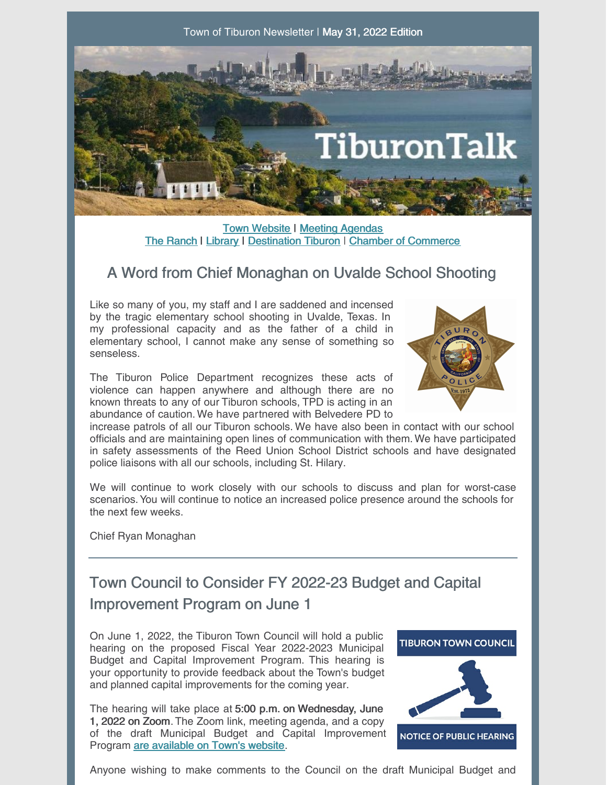

**Town [Website](http://www.townoftiburon.org) | Meeting [Agendas](http://www.townoftiburon.org/266/Agendas-Minutes)** The [Ranch](http://www.theranchtoday.org) | [Library](https://www.beltiblibrary.org/) | [Destination](https://www.destinationtiburon.org/) Tiburon | Chamber of [Commerce](https://www.tiburonchamber.org/)

## A Word from Chief Monaghan on Uvalde School Shooting

Like so many of you, my staff and I are saddened and incensed by the tragic elementary school shooting in Uvalde, Texas. In my professional capacity and as the father of a child in elementary school, I cannot make any sense of something so senseless.

The Tiburon Police Department recognizes these acts of violence can happen anywhere and although there are no known threats to any of our Tiburon schools, TPD is acting in an abundance of caution. We have partnered with Belvedere PD to



increase patrols of all our Tiburon schools. We have also been in contact with our school officials and are maintaining open lines of communication with them.We have participated in safety assessments of the Reed Union School District schools and have designated police liaisons with all our schools, including St. Hilary.

We will continue to work closely with our schools to discuss and plan for worst-case scenarios.You will continue to notice an increased police presence around the schools for the next few weeks.

Chief Ryan Monaghan

# Town Council to Consider FY 2022-23 Budget and Capital Improvement Program on June 1

On June 1, 2022, the Tiburon Town Council will hold a public hearing on the proposed Fiscal Year 2022-2023 Municipal Budget and Capital Improvement Program. This hearing is your opportunity to provide feedback about the Town's budget and planned capital improvements for the coming year.

The hearing will take place at 5:00 p.m. on Wednesday, June 1, 2022 on Zoom. The Zoom link, meeting agenda, and a copy of the draft Municipal Budget and Capital Improvement Program are [available](https://townoftiburon.granicus.com/GeneratedAgendaViewer.php?view_id=5&event_id=870) on Town's website.



Anyone wishing to make comments to the Council on the draft Municipal Budget and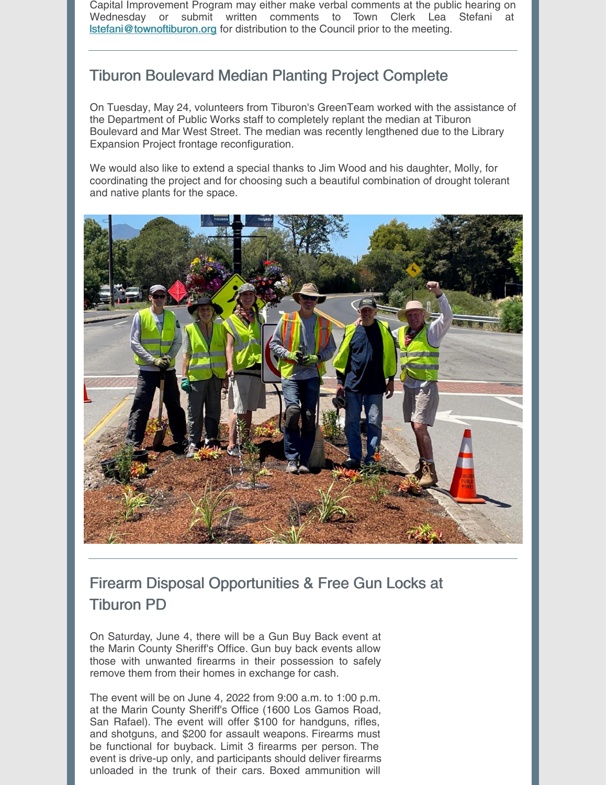Capital Improvement Program may either make verbal comments at the public hearing on Wednesday or submit written comments to Town Clerk Lea Stefani at [lstefani@townoftiburon.org](mailto:lstefani@townoftiburon.org) for distribution to the Council prior to the meeting.

### Tiburon Boulevard Median Planting Project Complete

On Tuesday, May 24, volunteers from Tiburon's GreenTeam worked with the assistance of the Department of Public Works staff to completely replant the median at Tiburon Boulevard and Mar West Street. The median was recently lengthened due to the Library Expansion Project frontage reconfiguration.

We would also like to extend a special thanks to Jim Wood and his daughter, Molly, for coordinating the project and for choosing such a beautiful combination of drought tolerant and native plants for the space.



## Firearm Disposal Opportunities & Free Gun Locks at Tiburon PD

On Saturday, June 4, there will be a Gun Buy Back event at the Marin County Sheriff's Office. Gun buy back events allow those with unwanted firearms in their possession to safely remove them from their homes in exchange for cash.

The event will be on June 4, 2022 from 9:00 a.m. to 1:00 p.m. at the Marin County Sheriff's Office (1600 Los Gamos Road, San Rafael). The event will offer \$100 for handguns, rifles, and shotguns, and \$200 for assault weapons. Firearms must be functional for buyback. Limit 3 firearms per person. The event is drive-up only, and participants should deliver firearms unloaded in the trunk of their cars. Boxed ammunition will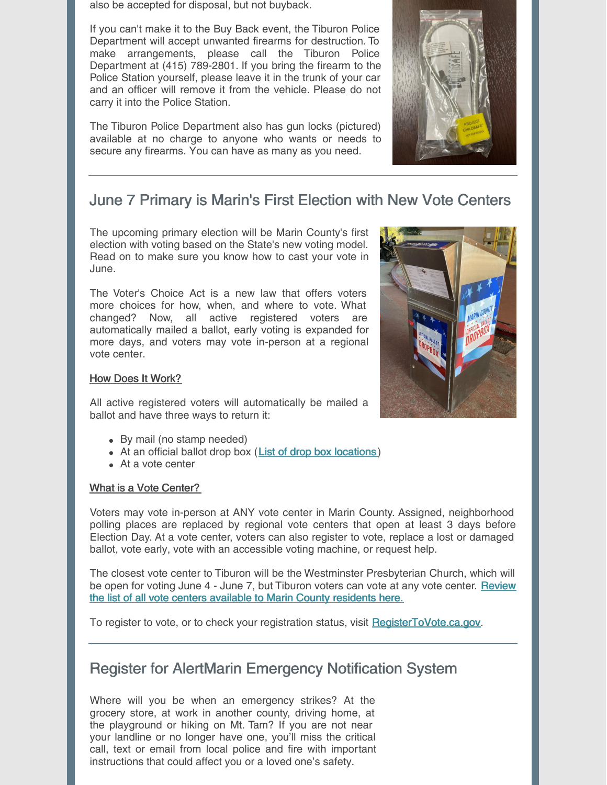also be accepted for disposal, but not buyback.

If you can't make it to the Buy Back event, the Tiburon Police Department will accept unwanted firearms for destruction. To make arrangements, please call the Tiburon Police Department at (415) 789-2801. If you bring the firearm to the Police Station yourself, please leave it in the trunk of your car and an officer will remove it from the vehicle. Please do not carry it into the Police Station.

The Tiburon Police Department also has gun locks (pictured) available at no charge to anyone who wants or needs to secure any firearms. You can have as many as you need.



### June 7 Primary is Marin's First Election with New Vote Centers

The upcoming primary election will be Marin County's first election with voting based on the State's new voting model. Read on to make sure you know how to cast your vote in June.

The Voter's Choice Act is a new law that offers voters more choices for how, when, and where to vote. What changed? Now, all active registered voters are automatically mailed a ballot, early voting is expanded for more days, and voters may vote in-person at a regional vote center.

#### How Does It Work?

All active registered voters will automatically be mailed a ballot and have three ways to return it:

- By mail (no stamp needed)
- At an official ballot drop box (List of drop box [locations](https://www.marincounty.org/depts/rv/election-info/june-7-2022/page-data/tabs-collection/vote-centers-and-drop-boxes/dropbox/dropbox-locations))
- At a vote center

#### What is a Vote Center?

Voters may vote in-person at ANY vote center in Marin County. Assigned, neighborhood polling places are replaced by regional vote centers that open at least 3 days before Election Day. At a vote center, voters can also register to vote, replace a lost or damaged ballot, vote early, vote with an accessible voting machine, or request help.

The closest vote center to Tiburon will be the Westminster Presbyterian Church, which will be open for voting June 4 - June 7, but Tiburon voters can vote at any vote center. Review the list of all vote centers available to Marin County [residents](https://www.marincounty.org/depts/rv/election-info/june-7-2022/page-data/tabs-collection/vote-centers-and-drop-boxes/polls/votecenters#wpc) here.

To register to vote, or to check your registration status, visit [RegisterToVote.ca.gov](https://registertovote.ca.gov/).

### Register for AlertMarin Emergency Notification System

Where will you be when an emergency strikes? At the grocery store, at work in another county, driving home, at the playground or hiking on Mt. Tam? If you are not near your landline or no longer have one, you'll miss the critical call, text or email from local police and fire with important instructions that could affect you or a loved one's safety.